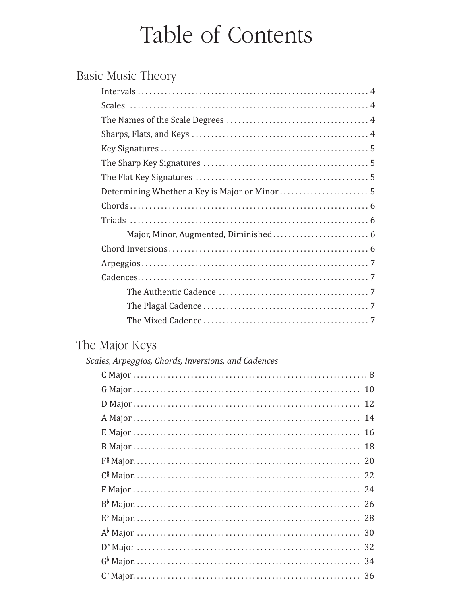# Table of Contents

| <b>Basic Music Theory</b> |
|---------------------------|
|                           |
|                           |
|                           |
|                           |
|                           |
|                           |
|                           |
|                           |
|                           |
|                           |
|                           |
|                           |
|                           |
|                           |
|                           |
|                           |
|                           |

| The Major Keys                                      |
|-----------------------------------------------------|
| Scales, Arpeggios, Chords, Inversions, and Cadences |
|                                                     |
|                                                     |
| 12                                                  |
| 14                                                  |
|                                                     |
|                                                     |
| 20                                                  |
| 22                                                  |
|                                                     |
|                                                     |
|                                                     |
|                                                     |
|                                                     |
| 34                                                  |
| 36                                                  |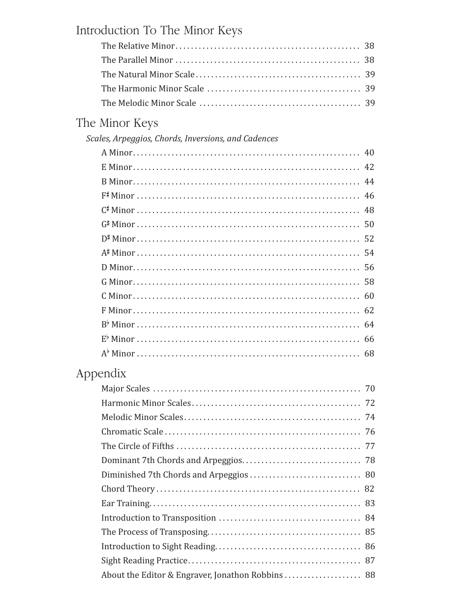| Introduction To The Minor Keys                      |    |  |
|-----------------------------------------------------|----|--|
|                                                     | 38 |  |
|                                                     | 38 |  |
|                                                     |    |  |
|                                                     |    |  |
|                                                     |    |  |
| The Minor Keys                                      |    |  |
| Scales, Arpeggios, Chords, Inversions, and Cadences |    |  |
|                                                     | 40 |  |
|                                                     | 42 |  |
|                                                     |    |  |
|                                                     | 46 |  |
|                                                     | 48 |  |
|                                                     |    |  |
|                                                     |    |  |
|                                                     |    |  |
|                                                     | 56 |  |
|                                                     |    |  |
|                                                     |    |  |
|                                                     | 62 |  |
|                                                     |    |  |
|                                                     |    |  |
|                                                     |    |  |
| Appendix                                            |    |  |
|                                                     |    |  |
|                                                     |    |  |
|                                                     |    |  |
|                                                     |    |  |
|                                                     |    |  |
|                                                     |    |  |
|                                                     |    |  |
|                                                     |    |  |
|                                                     |    |  |
|                                                     |    |  |
|                                                     |    |  |
|                                                     |    |  |
|                                                     |    |  |
| About the Editor & Engraver, Jonathon Robbins 88    |    |  |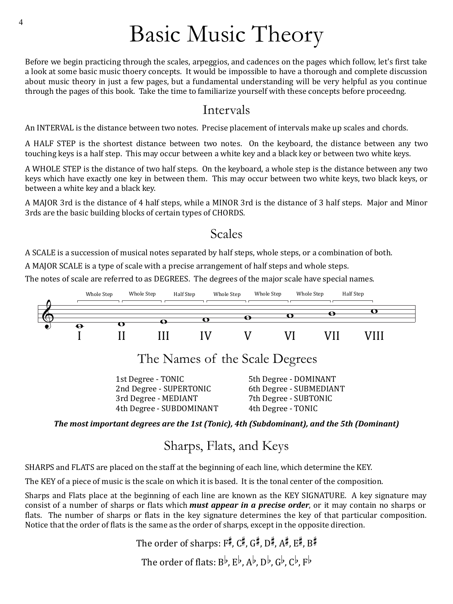### Basic Music Theory

Before we begin practicing through the scales, arpeggios, and cadences on the pages which follow, let's first take a look at some basic music thoery concepts. It would be impossible to have a thorough and complete discussion about music theory in just a few pages, but a fundamental understanding will be very helpful as you continue through the pages of this book. Take the time to familiarize yourself with these concepts before proceedng.

#### Intervals

An INTERVAL is the distance between two notes. Precise placement of intervals make up scales and chords.

A HALF STEP is the shortest distance between two notes. On the keyboard, the distance between any two touching keys is a half step. This may occur between a white key and a black key or between two white keys.

A WHOLE STEP is the distance of two half steps. On the keyboard, a whole step is the distance between any two keys which have exactly one key in between them. This may occur between two white keys, two black keys, or between a white key and a black key.

A MAJOR 3rd is the distance of 4 half steps, while a MINOR 3rd is the distance of 3 half steps. Major and Minor 3rds are the basic building blocks of certain types of CHORDS.

#### Scales

A SCALE is a succession of musical notes separated by half steps, whole steps, or a combination of both.

A MAJOR SCALE is a type of scale with a precise arrangement of half steps and whole steps.

The notes of scale are referred to as DEGREES. The degrees of the major scale have special names.



Sharps, Flats, and Keys

SHARPS and FLATS are placed on the staff at the beginning of each line, which determine the KEY.

The KEY of a piece of music is the scale on which it is based. It is the tonal center of the composition.

Sharps and Flats place at the beginning of each line are known as the KEY SIGNATURE. A key signature may consist of a number of sharps or flats which *must appear in a precise order*, or it may contain no sharps or flats. The number of sharps or flats in the key signature determines the key of that particular composition. Notice that the order of flats is the same as the order of sharps, except in the opposite direction.

> The order of sharps: F# , C# , G# , D# , A# , E# , B# The order of flats:  $B^{\flat}$ ,  $E^{\flat}$ ,  $A^{\flat}$ ,  $D^{\flat}$ ,  $G^{\flat}$ ,  $C^{\flat}$ ,  $F^{\flat}$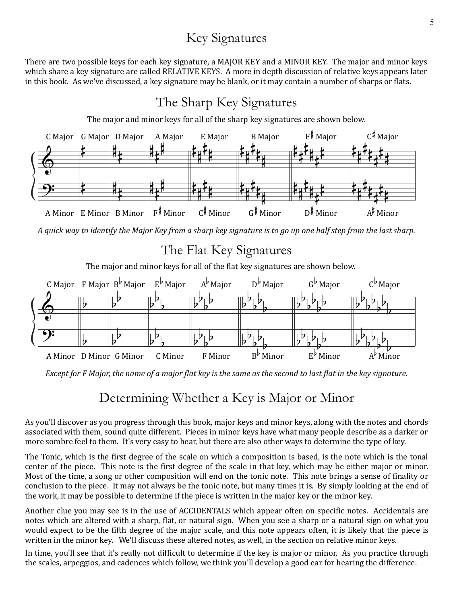### Key Signatures

There are two possible keys for each key signature, a MAJOR KEY and a MINOR KEY. The major and minor keys which share a key signature are called RELATIVE KEYS. A more in depth discussion of relative keys appears later in this book. As we've discussed, a key signature may be blank, or it may contain a number of sharps or flats.

### The Sharp Key Signatures

The major and minor keys for all of the sharp key signatures are shown below.



*A quick way to identify the Major Key from a sharp key signature is to go up one half step from the last sharp.*

The Flat Key Signatures

The major and minor keys for all of the flat key signatures are shown below.



*Except for F Major, the name of a major flat key is the same as the second to last flat in the key signature.*

### Determining Whether a Key is Major or Minor

As you'll discover as you progress through this book, major keys and minor keys, along with the notes and chords associated with them, sound quite different. Pieces in minor keys have what many people describe as a darker or more sombre feel to them. It's very easy to hear, but there are also other ways to determine the type of key.

The Tonic, which is the first degree of the scale on which a composition is based, is the note which is the tonal center of the piece. This note is the first degree of the scale in that key, which may be either major or minor. Most of the time, a song or other composition will end on the tonic note. This note brings a sense of finality or conclusion to the piece. It may not always be the tonic note, but many times it is. By simply looking at the end of the work, it may be possible to determine if the piece is written in the major key or the minor key.

Another clue you may see is in the use of ACCIDENTALS which appear often on specific notes. Accidentals are notes which are altered with a sharp, flat, or natural sign. When you see a sharp or a natural sign on what you would expect to be the fifth degree of the major scale, and this note appears often, it is likely that the piece is written in the minor key. We'll discuss these altered notes, as well, in the section on relative minor keys.

In time, you'll see that it's really not difficult to determine if the key is major or minor. As you practice through the scales, arpeggios, and cadences which follow, we think you'll develop a good ear for hearing the difference.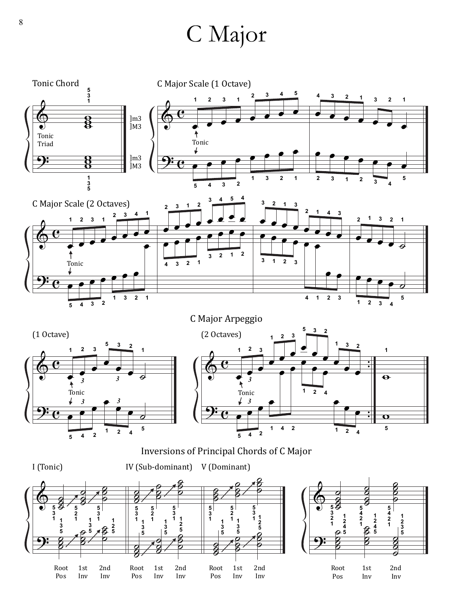## C Major

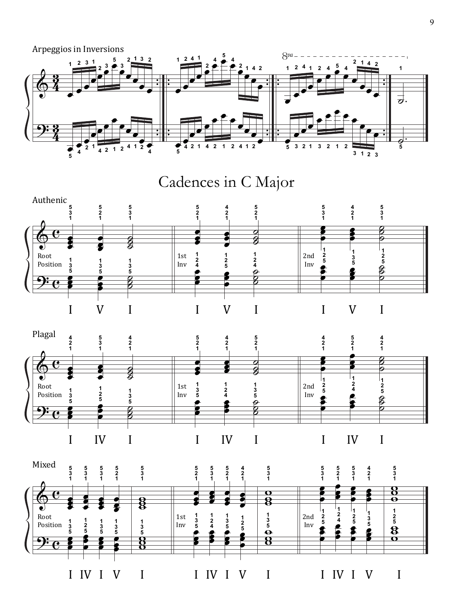Arpeggios in Inversions



Cadences in C Major

![](_page_5_Figure_3.jpeg)

![](_page_5_Figure_4.jpeg)

![](_page_5_Figure_5.jpeg)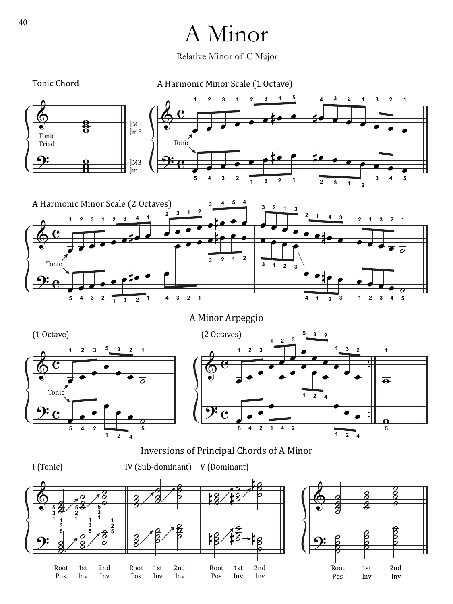# <sup>40</sup> A Minor

Relative Minor of C Major

Tonic Chord

A Harmonic Minor Scale (1 Octave)

![](_page_6_Figure_4.jpeg)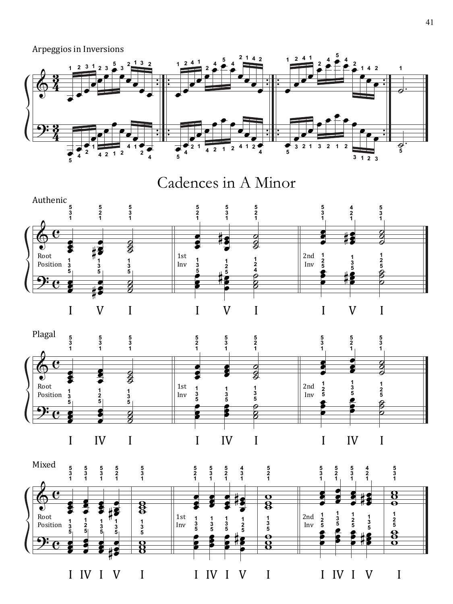Arpeggios in Inversions

![](_page_7_Figure_1.jpeg)

Cadences in A Minor

![](_page_7_Figure_3.jpeg)

![](_page_7_Figure_4.jpeg)

![](_page_7_Figure_5.jpeg)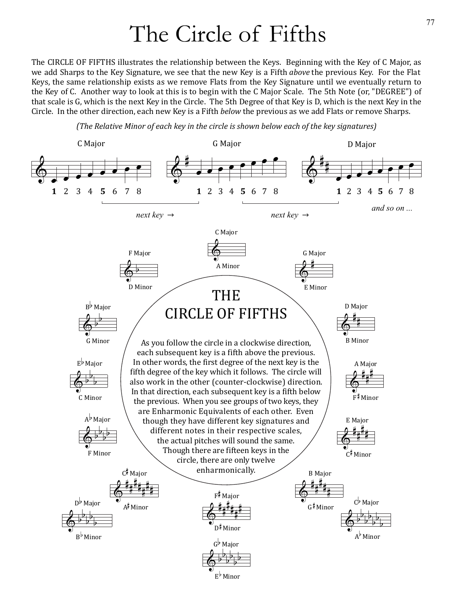### The Circle of Fifths

The CIRCLE OF FIFTHS illustrates the relationship between the Keys. Beginning with the Key of C Major, as we add Sharps to the Key Signature, we see that the new Key is a Fifth *above* the previous Key. For the Flat Keys, the same relationship exists as we remove Flats from the Key Signature until we eventually return to the Key of C. Another way to look at this is to begin with the C Major Scale. The 5th Note (or, "DEGREE") of that scale is G, which is the next Key in the Circle. The 5th Degree of that Key is D, which is the next Key in the Circle. In the other direction, each new Key is a Fifth *below* the previous as we add Flats or remove Sharps.

*(The Relative Minor of each key in the circle is shown below each of the key signatures)*

![](_page_8_Figure_3.jpeg)